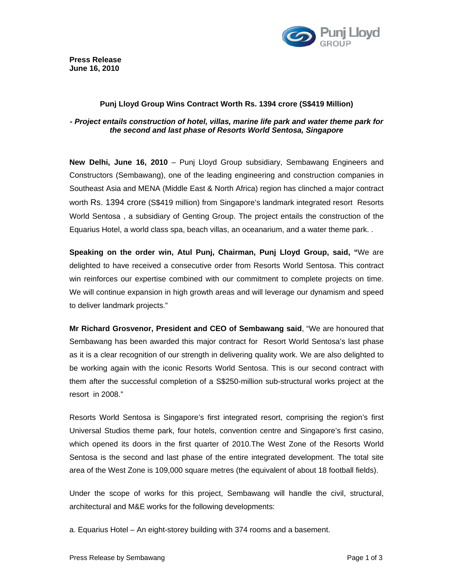

### **Punj Lloyd Group Wins Contract Worth Rs. 1394 crore (S\$419 Million)**

# **-** *Project entails construction of hotel, villas, marine life park and water theme park for the second and last phase of Resorts World Sentosa, Singapore*

**New Delhi, June 16, 2010** – Punj Lloyd Group subsidiary, Sembawang Engineers and Constructors (Sembawang), one of the leading engineering and construction companies in Southeast Asia and MENA (Middle East & North Africa) region has clinched a major contract worth Rs. 1394 crore (S\$419 million) from Singapore's landmark integrated resort Resorts World Sentosa , a subsidiary of Genting Group. The project entails the construction of the Equarius Hotel, a world class spa, beach villas, an oceanarium, and a water theme park. .

**Speaking on the order win, Atul Punj, Chairman, Punj Lloyd Group, said, "**We are delighted to have received a consecutive order from Resorts World Sentosa. This contract win reinforces our expertise combined with our commitment to complete projects on time. We will continue expansion in high growth areas and will leverage our dynamism and speed to deliver landmark projects."

**Mr Richard Grosvenor, President and CEO of Sembawang said**, "We are honoured that Sembawang has been awarded this major contract for Resort World Sentosa's last phase as it is a clear recognition of our strength in delivering quality work. We are also delighted to be working again with the iconic Resorts World Sentosa. This is our second contract with them after the successful completion of a S\$250-million sub-structural works project at the resort in 2008."

Resorts World Sentosa is Singapore's first integrated resort, comprising the region's first Universal Studios theme park, four hotels, convention centre and Singapore's first casino, which opened its doors in the first quarter of 2010.The West Zone of the Resorts World Sentosa is the second and last phase of the entire integrated development. The total site area of the West Zone is 109,000 square metres (the equivalent of about 18 football fields).

Under the scope of works for this project, Sembawang will handle the civil, structural, architectural and M&E works for the following developments:

a. Equarius Hotel – An eight-storey building with 374 rooms and a basement.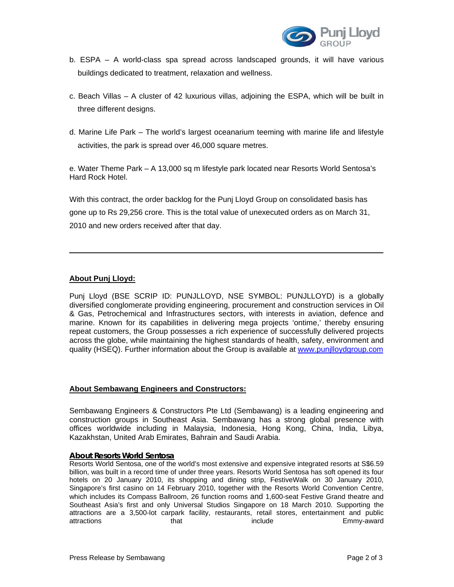

- b. ESPA A world-class spa spread across landscaped grounds, it will have various buildings dedicated to treatment, relaxation and wellness.
- c. Beach Villas A cluster of 42 luxurious villas, adjoining the ESPA, which will be built in three different designs.
- d. Marine Life Park The world's largest oceanarium teeming with marine life and lifestyle activities, the park is spread over 46,000 square metres.

e. Water Theme Park – A 13,000 sq m lifestyle park located near Resorts World Sentosa's Hard Rock Hotel.

With this contract, the order backlog for the Punj Lloyd Group on consolidated basis has gone up to Rs 29,256 crore. This is the total value of unexecuted orders as on March 31, 2010 and new orders received after that day.

# **About Punj Lloyd:**

Punj Lloyd (BSE SCRIP ID: PUNJLLOYD, NSE SYMBOL: PUNJLLOYD) is a globally diversified conglomerate providing engineering, procurement and construction services in Oil & Gas, Petrochemical and Infrastructures sectors, with interests in aviation, defence and marine. Known for its capabilities in delivering mega projects 'ontime,' thereby ensuring repeat customers, the Group possesses a rich experience of successfully delivered projects across the globe, while maintaining the highest standards of health, safety, environment and quality (HSEQ). Further information about the Group is available at www.punjlloydgroup.com

### **About Sembawang Engineers and Constructors:**

Sembawang Engineers & Constructors Pte Ltd (Sembawang) is a leading engineering and construction groups in Southeast Asia. Sembawang has a strong global presence with offices worldwide including in Malaysia, Indonesia, Hong Kong, China, India, Libya, Kazakhstan, United Arab Emirates, Bahrain and Saudi Arabia.

### **About Resorts World Sentosa**

Resorts World Sentosa, one of the world's most extensive and expensive integrated resorts at S\$6.59 billion, was built in a record time of under three years. Resorts World Sentosa has soft opened its four hotels on 20 January 2010, its shopping and dining strip, FestiveWalk on 30 January 2010, Singapore's first casino on 14 February 2010, together with the Resorts World Convention Centre, which includes its Compass Ballroom, 26 function rooms and 1,600-seat Festive Grand theatre and Southeast Asia's first and only Universal Studios Singapore on 18 March 2010. Supporting the attractions are a 3,500-lot carpark facility, restaurants, retail stores, entertainment and public attractions **that** that include Emmy-award